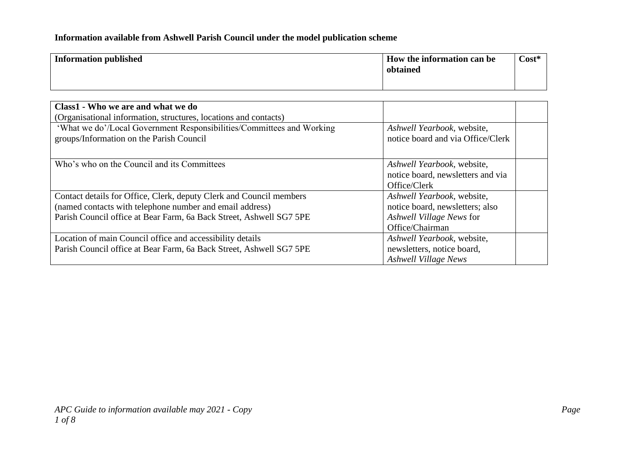## **Information available from Ashwell Parish Council under the model publication scheme**

| <b>Information published</b> | How the information can be<br>obtained | $Cost*$ |
|------------------------------|----------------------------------------|---------|
|                              |                                        |         |

| Class1 - Who we are and what we do<br>(Organisational information, structures, locations and contacts)            |                                                                                 |
|-------------------------------------------------------------------------------------------------------------------|---------------------------------------------------------------------------------|
| 'What we do'/Local Government Responsibilities/Committees and Working<br>groups/Information on the Parish Council | Ashwell Yearbook, website,<br>notice board and via Office/Clerk                 |
| Who's who on the Council and its Committees                                                                       | Ashwell Yearbook, website,<br>notice board, newsletters and via<br>Office/Clerk |
| Contact details for Office, Clerk, deputy Clerk and Council members                                               | Ashwell Yearbook, website,                                                      |
| (named contacts with telephone number and email address)                                                          | notice board, newsletters; also                                                 |
| Parish Council office at Bear Farm, 6a Back Street, Ashwell SG7 5PE                                               | Ashwell Village News for                                                        |
|                                                                                                                   | Office/Chairman                                                                 |
| Location of main Council office and accessibility details                                                         | Ashwell Yearbook, website,                                                      |
| Parish Council office at Bear Farm, 6a Back Street, Ashwell SG7 5PE                                               | newsletters, notice board,                                                      |
|                                                                                                                   | <b>Ashwell Village News</b>                                                     |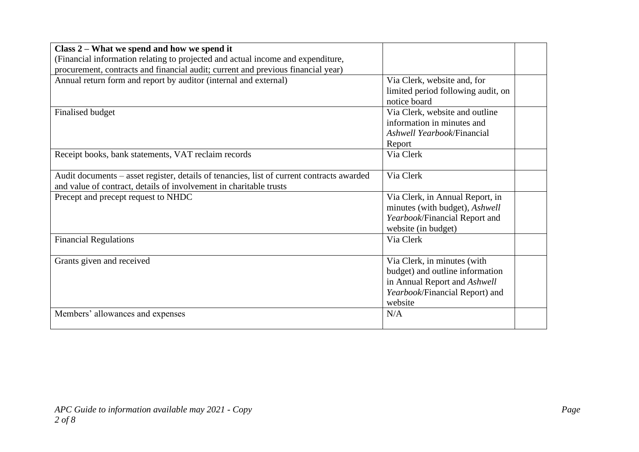| Class 2 – What we spend and how we spend it                                               |                                    |  |
|-------------------------------------------------------------------------------------------|------------------------------------|--|
| (Financial information relating to projected and actual income and expenditure,           |                                    |  |
| procurement, contracts and financial audit; current and previous financial year)          |                                    |  |
| Annual return form and report by auditor (internal and external)                          | Via Clerk, website and, for        |  |
|                                                                                           | limited period following audit, on |  |
|                                                                                           | notice board                       |  |
| Finalised budget                                                                          | Via Clerk, website and outline     |  |
|                                                                                           | information in minutes and         |  |
|                                                                                           | Ashwell Yearbook/Financial         |  |
|                                                                                           | Report                             |  |
| Receipt books, bank statements, VAT reclaim records                                       | Via Clerk                          |  |
|                                                                                           |                                    |  |
| Audit documents – asset register, details of tenancies, list of current contracts awarded | Via Clerk                          |  |
| and value of contract, details of involvement in charitable trusts                        |                                    |  |
| Precept and precept request to NHDC                                                       | Via Clerk, in Annual Report, in    |  |
|                                                                                           | minutes (with budget), Ashwell     |  |
|                                                                                           | Yearbook/Financial Report and      |  |
|                                                                                           | website (in budget)                |  |
| <b>Financial Regulations</b>                                                              | Via Clerk                          |  |
|                                                                                           |                                    |  |
| Grants given and received                                                                 | Via Clerk, in minutes (with        |  |
|                                                                                           | budget) and outline information    |  |
|                                                                                           | in Annual Report and Ashwell       |  |
|                                                                                           | Yearbook/Financial Report) and     |  |
|                                                                                           | website                            |  |
| Members' allowances and expenses                                                          | N/A                                |  |
|                                                                                           |                                    |  |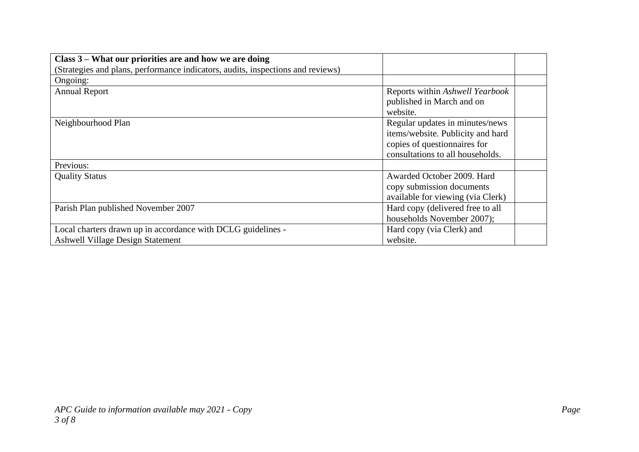| Class 3 – What our priorities are and how we are doing                          |                                   |  |
|---------------------------------------------------------------------------------|-----------------------------------|--|
| (Strategies and plans, performance indicators, audits, inspections and reviews) |                                   |  |
| Ongoing:                                                                        |                                   |  |
| <b>Annual Report</b>                                                            | Reports within Ashwell Yearbook   |  |
|                                                                                 | published in March and on         |  |
|                                                                                 | website.                          |  |
| Neighbourhood Plan                                                              | Regular updates in minutes/news   |  |
|                                                                                 | items/website. Publicity and hard |  |
|                                                                                 | copies of questionnaires for      |  |
|                                                                                 | consultations to all households.  |  |
| Previous:                                                                       |                                   |  |
| <b>Quality Status</b>                                                           | Awarded October 2009. Hard        |  |
|                                                                                 | copy submission documents         |  |
|                                                                                 | available for viewing (via Clerk) |  |
| Parish Plan published November 2007                                             | Hard copy (delivered free to all  |  |
|                                                                                 | households November 2007);        |  |
| Local charters drawn up in accordance with DCLG guidelines -                    | Hard copy (via Clerk) and         |  |
| <b>Ashwell Village Design Statement</b>                                         | website.                          |  |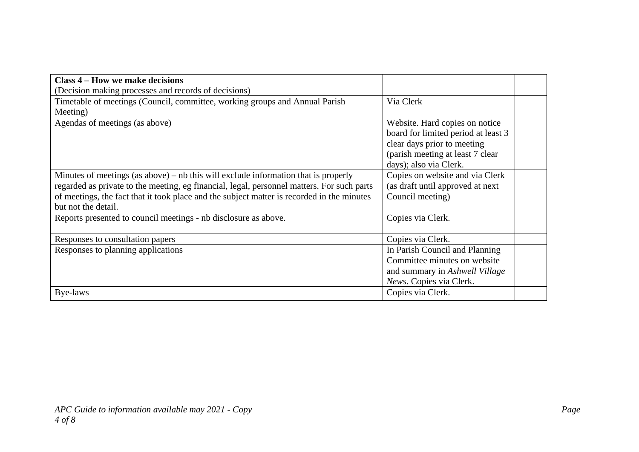| Class 4 – How we make decisions                                                            |                                     |
|--------------------------------------------------------------------------------------------|-------------------------------------|
| (Decision making processes and records of decisions)                                       |                                     |
| Timetable of meetings (Council, committee, working groups and Annual Parish                | Via Clerk                           |
| Meeting)                                                                                   |                                     |
| Agendas of meetings (as above)                                                             | Website. Hard copies on notice      |
|                                                                                            | board for limited period at least 3 |
|                                                                                            | clear days prior to meeting         |
|                                                                                            | (parish meeting at least 7 clear)   |
|                                                                                            | days); also via Clerk.              |
| Minutes of meetings (as above) – nb this will exclude information that is properly         | Copies on website and via Clerk     |
| regarded as private to the meeting, eg financial, legal, personnel matters. For such parts | (as draft until approved at next)   |
| of meetings, the fact that it took place and the subject matter is recorded in the minutes | Council meeting)                    |
| but not the detail.                                                                        |                                     |
| Reports presented to council meetings - nb disclosure as above.                            | Copies via Clerk.                   |
|                                                                                            |                                     |
| Responses to consultation papers                                                           | Copies via Clerk.                   |
| Responses to planning applications                                                         | In Parish Council and Planning      |
|                                                                                            | Committee minutes on website        |
|                                                                                            | and summary in Ashwell Village      |
|                                                                                            | News. Copies via Clerk.             |
| Bye-laws                                                                                   | Copies via Clerk.                   |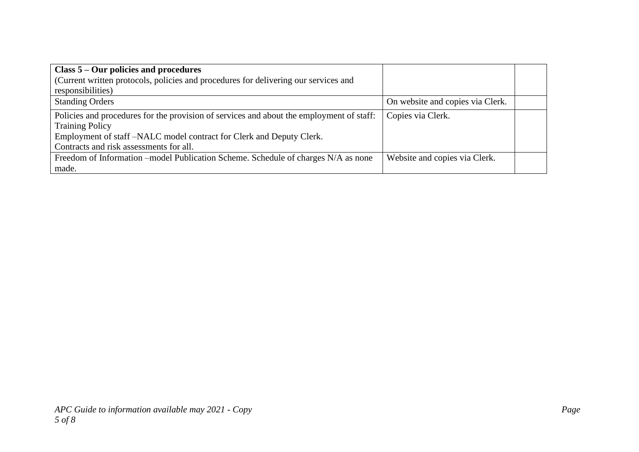| Class 5 – Our policies and procedures                                                    |                                  |  |
|------------------------------------------------------------------------------------------|----------------------------------|--|
| (Current written protocols, policies and procedures for delivering our services and      |                                  |  |
| responsibilities)                                                                        |                                  |  |
| <b>Standing Orders</b>                                                                   | On website and copies via Clerk. |  |
| Policies and procedures for the provision of services and about the employment of staff: | Copies via Clerk.                |  |
| <b>Training Policy</b>                                                                   |                                  |  |
| Employment of staff-NALC model contract for Clerk and Deputy Clerk.                      |                                  |  |
| Contracts and risk assessments for all.                                                  |                                  |  |
| Freedom of Information – model Publication Scheme. Schedule of charges N/A as none       | Website and copies via Clerk.    |  |
| made.                                                                                    |                                  |  |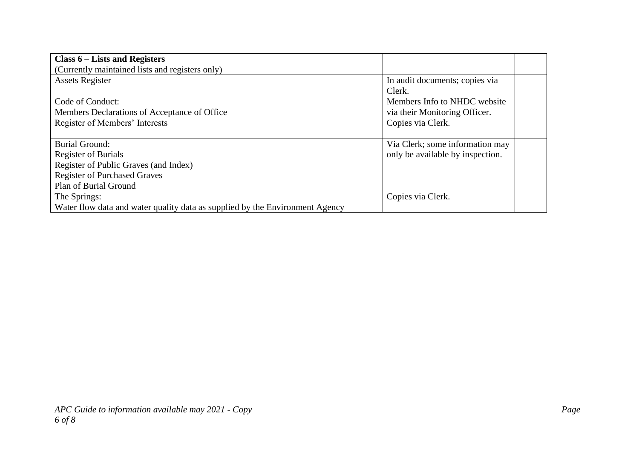| Class $6$ – Lists and Registers                                              |                                  |
|------------------------------------------------------------------------------|----------------------------------|
| (Currently maintained lists and registers only)                              |                                  |
| <b>Assets Register</b>                                                       | In audit documents; copies via   |
|                                                                              | Clerk.                           |
| Code of Conduct:                                                             | Members Info to NHDC website     |
| Members Declarations of Acceptance of Office                                 | via their Monitoring Officer.    |
| Register of Members' Interests                                               | Copies via Clerk.                |
|                                                                              |                                  |
| <b>Burial Ground:</b>                                                        | Via Clerk; some information may  |
| <b>Register of Burials</b>                                                   | only be available by inspection. |
| Register of Public Graves (and Index)                                        |                                  |
| <b>Register of Purchased Graves</b>                                          |                                  |
| Plan of Burial Ground                                                        |                                  |
| The Springs:                                                                 | Copies via Clerk.                |
| Water flow data and water quality data as supplied by the Environment Agency |                                  |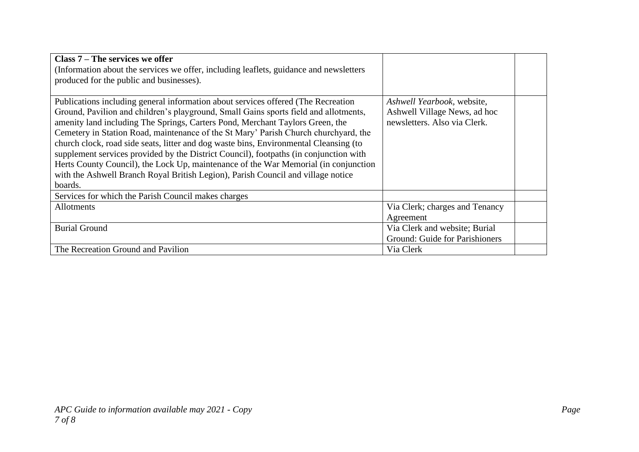| Class 7 – The services we offer                                                        |                                |  |
|----------------------------------------------------------------------------------------|--------------------------------|--|
| (Information about the services we offer, including leaflets, guidance and newsletters |                                |  |
| produced for the public and businesses).                                               |                                |  |
|                                                                                        |                                |  |
| Publications including general information about services offered (The Recreation      | Ashwell Yearbook, website,     |  |
| Ground, Pavilion and children's playground, Small Gains sports field and allotments,   | Ashwell Village News, ad hoc   |  |
| amenity land including The Springs, Carters Pond, Merchant Taylors Green, the          | newsletters. Also via Clerk.   |  |
| Cemetery in Station Road, maintenance of the St Mary' Parish Church churchyard, the    |                                |  |
| church clock, road side seats, litter and dog waste bins, Environmental Cleansing (to  |                                |  |
| supplement services provided by the District Council), footpaths (in conjunction with  |                                |  |
| Herts County Council), the Lock Up, maintenance of the War Memorial (in conjunction    |                                |  |
| with the Ashwell Branch Royal British Legion), Parish Council and village notice       |                                |  |
| boards.                                                                                |                                |  |
| Services for which the Parish Council makes charges                                    |                                |  |
| Allotments                                                                             | Via Clerk; charges and Tenancy |  |
|                                                                                        | Agreement                      |  |
| <b>Burial Ground</b>                                                                   | Via Clerk and website; Burial  |  |
|                                                                                        | Ground: Guide for Parishioners |  |
| The Recreation Ground and Pavilion                                                     | Via Clerk                      |  |